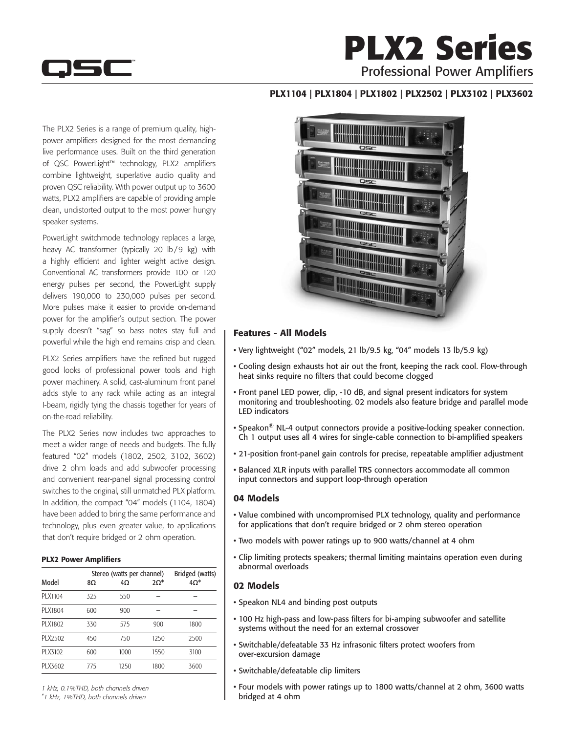

## **PLX2 Series** Professional Power Amplifiers

### PLX1104 | PLX1804 | PLX1802 | PLX2502 | PLX3102 | PLX3602

The PLX2 Series is a range of premium quality, highpower amplifiers designed for the most demanding live performance uses. Built on the third generation of QSC PowerLight™ technology, PLX2 amplifiers combine lightweight, superlative audio quality and proven QSC reliability. With power output up to 3600 watts, PLX2 amplifiers are capable of providing ample clean, undistorted output to the most power hungry speaker systems.

PowerLight switchmode technology replaces a large, heavy AC transformer (typically 20 lb/9 kg) with a highly efficient and lighter weight active design. Conventional AC transformers provide 100 or 120 energy pulses per second, the PowerLight supply delivers 190,000 to 230,000 pulses per second. More pulses make it easier to provide on-demand power for the amplifier's output section. The power supply doesn't "sag" so bass notes stay full and powerful while the high end remains crisp and clean.

PLX2 Series amplifiers have the refined but rugged good looks of professional power tools and high power machinery. A solid, cast-aluminum front panel adds style to any rack while acting as an integral I-beam, rigidly tying the chassis together for years of on-the-road reliability.

The PLX2 Series now includes two approaches to meet a wider range of needs and budgets. The fully featured "02" models (1802, 2502, 3102, 3602) drive 2 ohm loads and add subwoofer processing and convenient rear-panel signal processing control switches to the original, still unmatched PLX platform. In addition, the compact "04" models (1104, 1804) have been added to bring the same performance and technology, plus even greater value, to applications that don't require bridged or 2 ohm operation.

#### PLX2 Power Amplifiers

| Model   | 8Ω  | Stereo (watts per channel)<br>$4\Omega$ | Bridged (watts)<br>$4\Omega^*$ |      |  |  |
|---------|-----|-----------------------------------------|--------------------------------|------|--|--|
| PLX1104 | 325 | 550                                     |                                |      |  |  |
| PLX1804 | 600 | 900                                     |                                |      |  |  |
| PLX1802 | 330 | 575                                     | 900                            | 1800 |  |  |
| PLX2502 | 450 | 750                                     | 1250                           | 2500 |  |  |
| PLX3102 | 600 | 1000                                    | 1550                           | 3100 |  |  |
| PLX3602 | 775 | 1250                                    | 1800                           | 3600 |  |  |

*1 kHz, 0.1%THD, both channels driven*

*\* 1 kHz, 1%THD, both channels driven*



#### Features - All Models

- • Very lightweight ("02" models, 21 lb/9.5 kg, "04" models 13 lb/5.9 kg)
- Cooling design exhausts hot air out the front, keeping the rack cool. Flow-through heat sinks require no filters that could become clogged
- Front panel LED power, clip, -10 dB, and signal present indicators for system monitoring and troubleshooting. 02 models also feature bridge and parallel mode LED indicators
- Speakon<sup>®</sup> NL-4 output connectors provide a positive-locking speaker connection. Ch 1 output uses all 4 wires for single-cable connection to bi-amplified speakers
- 21-position front-panel gain controls for precise, repeatable amplifier adjustment
- Balanced XLR inputs with parallel TRS connectors accommodate all common input connectors and support loop-through operation

#### 04 Models

- Value combined with uncompromised PLX technology, quality and performance for applications that don't require bridged or 2 ohm stereo operation
- Two models with power ratings up to 900 watts/channel at 4 ohm
- Clip limiting protects speakers; thermal limiting maintains operation even during abnormal overloads

#### 02 Models

- Speakon NL4 and binding post outputs
- 100 Hz high-pass and low-pass filters for bi-amping subwoofer and satellite systems without the need for an external crossover
- Switchable/defeatable 33 Hz infrasonic filters protect woofers from over-excursion damage
- Switchable/defeatable clip limiters
- Four models with power ratings up to 1800 watts/channel at 2 ohm, 3600 watts bridged at 4 ohm